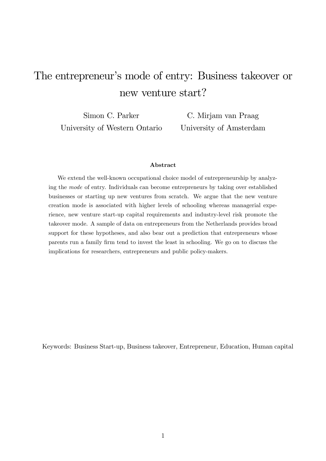# The entrepreneur's mode of entry: Business takeover or new venture start?

Simon C. Parker University of Western Ontario

C. Mirjam van Praag University of Amsterdam

#### Abstract

We extend the well-known occupational choice model of entrepreneurship by analyzing the mode of entry. Individuals can become entrepreneurs by taking over established businesses or starting up new ventures from scratch. We argue that the new venture creation mode is associated with higher levels of schooling whereas managerial experience, new venture start-up capital requirements and industry-level risk promote the takeover mode. A sample of data on entrepreneurs from the Netherlands provides broad support for these hypotheses, and also bear out a prediction that entrepreneurs whose parents run a family firm tend to invest the least in schooling. We go on to discuss the implications for researchers, entrepreneurs and public policy-makers.

Keywords: Business Start-up, Business takeover, Entrepreneur, Education, Human capital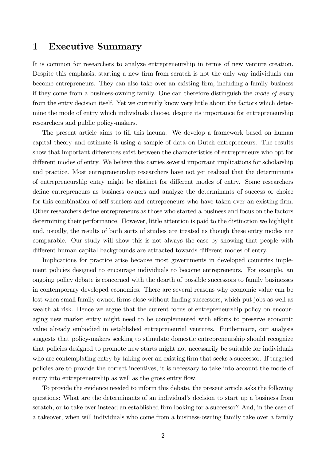# 1 Executive Summary

It is common for researchers to analyze entrepreneurship in terms of new venture creation. Despite this emphasis, starting a new firm from scratch is not the only way individuals can become entrepreneurs. They can also take over an existing firm, including a family business if they come from a business-owning family. One can therefore distinguish the mode of entry from the entry decision itself. Yet we currently know very little about the factors which determine the mode of entry which individuals choose, despite its importance for entrepreneurship researchers and public policy-makers.

The present article aims to fill this lacuna. We develop a framework based on human capital theory and estimate it using a sample of data on Dutch entrepreneurs. The results show that important differences exist between the characteristics of entrepreneurs who opt for different modes of entry. We believe this carries several important implications for scholarship and practice. Most entrepreneurship researchers have not yet realized that the determinants of entrepreneurship entry might be distinct for different modes of entry. Some researchers define entrepreneurs as business owners and analyze the determinants of success or choice for this combination of self-starters and entrepreneurs who have taken over an existing firm. Other researchers define entrepreneurs as those who started a business and focus on the factors determining their performance. However, little attention is paid to the distinction we highlight and, usually, the results of both sorts of studies are treated as though these entry modes are comparable. Our study will show this is not always the case by showing that people with different human capital backgrounds are attracted towards different modes of entry.

Implications for practice arise because most governments in developed countries implement policies designed to encourage individuals to become entrepreneurs. For example, an ongoing policy debate is concerned with the dearth of possible successors to family businesses in contemporary developed economies. There are several reasons why economic value can be lost when small family-owned firms close without finding successors, which put jobs as well as wealth at risk. Hence we argue that the current focus of entrepreneurship policy on encouraging new market entry might need to be complemented with efforts to preserve economic value already embodied in established entrepreneurial ventures. Furthermore, our analysis suggests that policy-makers seeking to stimulate domestic entrepreneurship should recognize that policies designed to promote new starts might not necessarily be suitable for individuals who are contemplating entry by taking over an existing firm that seeks a successor. If targeted policies are to provide the correct incentives, it is necessary to take into account the mode of entry into entrepreneurship as well as the gross entry flow.

To provide the evidence needed to inform this debate, the present article asks the following questions: What are the determinants of an individual's decision to start up a business from scratch, or to take over instead an established firm looking for a successor? And, in the case of a takeover, when will individuals who come from a business-owning family take over a family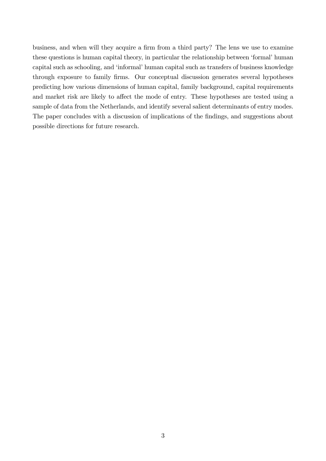business, and when will they acquire a firm from a third party? The lens we use to examine these questions is human capital theory, in particular the relationship between 'formal' human capital such as schooling, and 'informal' human capital such as transfers of business knowledge through exposure to family firms. Our conceptual discussion generates several hypotheses predicting how various dimensions of human capital, family background, capital requirements and market risk are likely to affect the mode of entry. These hypotheses are tested using a sample of data from the Netherlands, and identify several salient determinants of entry modes. The paper concludes with a discussion of implications of the findings, and suggestions about possible directions for future research.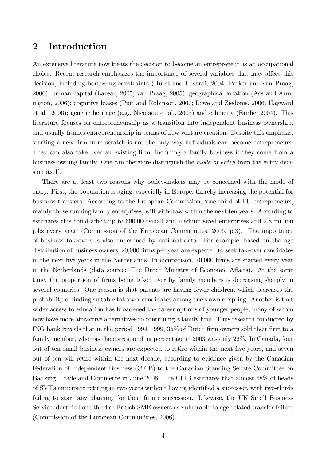# 2 Introduction

An extensive literature now treats the decision to become an entrepreneur as an occupational choice. Recent research emphasizes the importance of several variables that may affect this decision, including borrowing constraints (Hurst and Lusardi, 2004; Parker and van Praag, 2006); human capital (Lazear, 2005; van Praag, 2005); geographical location (Acs and Armington, 2006); cognitive biases (Puri and Robinson, 2007; Lowe and Ziedonis, 2006; Hayward et al., 2006); genetic heritage (e.g., Nicolaou et al., 2008) and ethnicity (Fairlie, 2004). This literature focuses on entrepreneurship as a transition into independent business ownership, and usually frames entrepreneurship in terms of new venture creation. Despite this emphasis, starting a new firm from scratch is not the only way individuals can become entrepreneurs. They can also take over an existing firm, including a family business if they come from a business-owning family. One can therefore distinguish the mode of entry from the entry decision itself.

There are at least two reasons why policy-makers may be concerned with the mode of entry. First, the population is aging, especially in Europe, thereby increasing the potential for business transfers. According to the European Commission, ëone third of EU entrepreneurs, mainly those running family enterprises, will withdraw within the next ten years. According to estimates this could affect up to 690,000 small and medium sized enterprises and 2.8 million jobs every yearí (Commission of the European Communities, 2006, p.3). The importance of business takeovers is also underlined by national data. For example, based on the age distribution of business owners, 20,000 firms per year are expected to seek takeover candidates in the next five years in the Netherlands. In comparison, 70,000 firms are started every year in the Netherlands (data source: The Dutch Ministry of Economic Affairs). At the same time, the proportion of firms being taken over by family members is decreasing sharply in several countries. One reason is that parents are having fewer children, which decreases the probability of finding suitable takeover candidates among one's own offspring. Another is that wider access to education has broadened the career options of younger people, many of whom now have more attractive alternatives to continuing a family firm. Thus research conducted by ING bank reveals that in the period 1994–1999,  $35\%$  of Dutch firm owners sold their firm to a family member, whereas the corresponding percentage in 2003 was only 22%. In Canada, four out of ten small business owners are expected to retire within the next Öve years, and seven out of ten will retire within the next decade, according to evidence given by the Canadian Federation of Independent Business (CFIB) to the Canadian Standing Senate Committee on Banking, Trade and Commerce in June 2006. The CFIB estimates that almost 58% of heads of SMEs anticipate retiring in two years without having identified a successor, with two-thirds failing to start any planning for their future succession. Likewise, the UK Small Business Service identified one third of British SME owners as vulnerable to age-related transfer failure (Commission of the European Communities, 2006).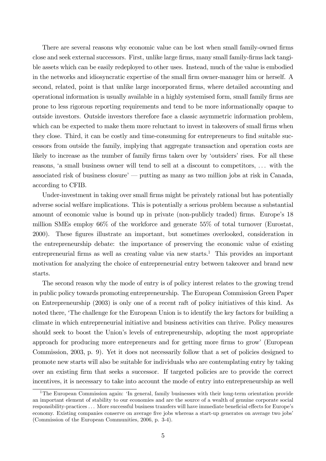There are several reasons why economic value can be lost when small family-owned firms close and seek external successors. First, unlike large Örms, many small family-Örms lack tangible assets which can be easily redeployed to other uses. Instead, much of the value is embodied in the networks and idiosyncratic expertise of the small firm owner-manager him or herself. A second, related, point is that unlike large incorporated firms, where detailed accounting and operational information is usually available in a highly systemised form, small family firms are prone to less rigorous reporting requirements and tend to be more informationally opaque to outside investors. Outside investors therefore face a classic asymmetric information problem, which can be expected to make them more reluctant to invest in takeovers of small firms when they close. Third, it can be costly and time-consuming for entrepreneurs to find suitable successors from outside the family, implying that aggregate transaction and operation costs are likely to increase as the number of family firms taken over by 'outsiders' rises. For all these reasons, 'a small business owner will tend to sell at a discount to competitors, ... with the associated risk of business closure<sup> $\gamma$ </sup> putting as many as two million jobs at risk in Canada, according to CFIB.

Under-investment in taking over small firms might be privately rational but has potentially adverse social welfare implications. This is potentially a serious problem because a substantial amount of economic value is bound up in private (non-publicly traded) firms. Europe's 18 million SMEs employ 66% of the workforce and generate 55% of total turnover (Eurostat, 2000). These figures illustrate an important, but sometimes overlooked, consideration in the entrepreneurship debate: the importance of preserving the economic value of existing entrepreneurial firms as well as creating value via new starts.<sup>1</sup> This provides an important motivation for analyzing the choice of entrepreneurial entry between takeover and brand new starts.

The second reason why the mode of entry is of policy interest relates to the growing trend in public policy towards promoting entrepreneurship. The European Commission Green Paper on Entrepreneurship (2003) is only one of a recent raft of policy initiatives of this kind. As noted there, 'The challenge for the European Union is to identify the key factors for building a climate in which entrepreneurial initiative and business activities can thrive. Policy measures should seek to boost the Union's levels of entrepreneurship, adopting the most appropriate approach for producing more entrepreneurs and for getting more firms to grow' (European Commission, 2003, p. 9). Yet it does not necessarily follow that a set of policies designed to promote new starts will also be suitable for individuals who are contemplating entry by taking over an existing firm that seeks a successor. If targeted policies are to provide the correct incentives, it is necessary to take into account the mode of entry into entrepreneurship as well

<sup>&</sup>lt;sup>1</sup>The European Commission again: 'In general, family businesses with their long-term orientation provide an important element of stability to our economies and are the source of a wealth of genuine corporate social responsibility-practices ... More successful business transfers will have immediate beneficial effects for Europe's economy. Existing companies conserve on average five jobs whereas a start-up generates on average two jobs' (Commission of the European Communities, 2006, p. 3-4).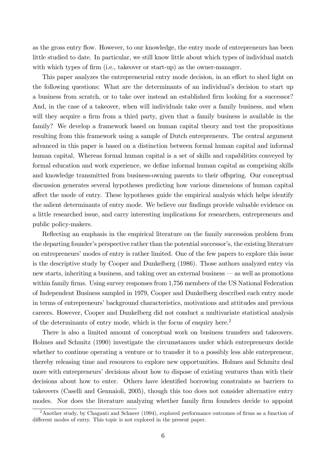as the gross entry flow. However, to our knowledge, the entry mode of entrepreneurs has been little studied to date. In particular, we still know little about which types of individual match with which types of firm (i.e., takeover or start-up) as the owner-manager.

This paper analyzes the entrepreneurial entry mode decision, in an effort to shed light on the following questions: What are the determinants of an individual's decision to start up a business from scratch, or to take over instead an established firm looking for a successor? And, in the case of a takeover, when will individuals take over a family business, and when will they acquire a firm from a third party, given that a family business is available in the family? We develop a framework based on human capital theory and test the propositions resulting from this framework using a sample of Dutch entrepreneurs. The central argument advanced in this paper is based on a distinction between formal human capital and informal human capital. Whereas formal human capital is a set of skills and capabilities conveyed by formal education and work experience, we define informal human capital as comprising skills and knowledge transmitted from business-owning parents to their offspring. Our conceptual discussion generates several hypotheses predicting how various dimensions of human capital affect the mode of entry. These hypotheses guide the empirical analysis which helps identify the salient determinants of entry mode. We believe our findings provide valuable evidence on a little researched issue, and carry interesting implications for researchers, entrepreneurs and public policy-makers.

Reflecting an emphasis in the empirical literature on the family succession problem from the departing founder's perspective rather than the potential successor's, the existing literature on entrepreneurs' modes of entry is rather limited. One of the few papers to explore this issue is the descriptive study by Cooper and Dunkelberg (1986). Those authors analyzed entry via new starts, inheriting a business, and taking over an external business – as well as promotions within family firms. Using survey responses from 1,756 members of the US National Federation of Independent Business sampled in 1979, Cooper and Dunkelberg described each entry mode in terms of entrepreneurs' background characteristics, motivations and attitudes and previous careers. However, Cooper and Dunkelberg did not conduct a multivariate statistical analysis of the determinants of entry mode, which is the focus of enquiry here.<sup>2</sup>

There is also a limited amount of conceptual work on business transfers and takeovers. Holmes and Schmitz (1990) investigate the circumstances under which entrepreneurs decide whether to continue operating a venture or to transfer it to a possibly less able entrepreneur, thereby releasing time and resources to explore new opportunities. Holmes and Schmitz deal more with entrepreneurs' decisions about how to dispose of existing ventures than with their decisions about how to enter. Others have identified borrowing constraints as barriers to takeovers (Caselli and Gennaioli, 2005), though this too does not consider alternative entry modes. Nor does the literature analyzing whether family firm founders decide to appoint

<sup>&</sup>lt;sup>2</sup>Another study, by Chaganti and Schneer (1994), explored performance outcomes of firms as a function of different modes of entry. This topic is not explored in the present paper.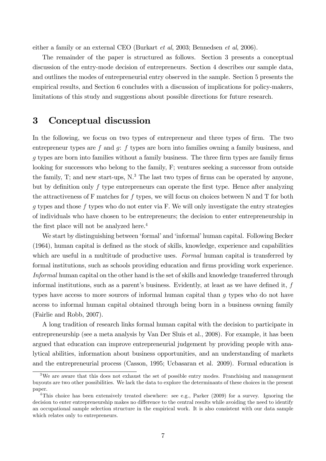either a family or an external CEO (Burkart et al, 2003; Bennedsen et al, 2006).

The remainder of the paper is structured as follows. Section 3 presents a conceptual discussion of the entry-mode decision of entrepreneurs. Section 4 describes our sample data, and outlines the modes of entrepreneurial entry observed in the sample. Section 5 presents the empirical results, and Section 6 concludes with a discussion of implications for policy-makers, limitations of this study and suggestions about possible directions for future research.

### 3 Conceptual discussion

In the following, we focus on two types of entrepreneur and three types of firm. The two entrepreneur types are  $f$  and  $g$ :  $f$  types are born into families owning a family business, and  $g$  types are born into families without a family business. The three firm types are family firms looking for successors who belong to the family, F; ventures seeking a successor from outside the family, T; and new start-ups,  $N<sup>3</sup>$ . The last two types of firms can be operated by anyone, but by definition only  $f$  type entrepreneurs can operate the first type. Hence after analyzing the attractiveness of F matches for f types, we will focus on choices between N and T for both  $q$  types and those  $f$  types who do not enter via F. We will only investigate the entry strategies of individuals who have chosen to be entrepreneurs; the decision to enter entrepreneurship in the first place will not be analyzed here. $4$ 

We start by distinguishing between 'formal' and 'informal' human capital. Following Becker  $(1964)$ , human capital is defined as the stock of skills, knowledge, experience and capabilities which are useful in a multitude of productive uses. Formal human capital is transferred by formal institutions, such as schools providing education and firms providing work experience. Informal human capital on the other hand is the set of skills and knowledge transferred through informal institutions, such as a parent's business. Evidently, at least as we have defined it,  $f$ types have access to more sources of informal human capital than g types who do not have access to informal human capital obtained through being born in a business owning family (Fairlie and Robb, 2007).

A long tradition of research links formal human capital with the decision to participate in entrepreneurship (see a meta analysis by Van Der Sluis et al., 2008). For example, it has been argued that education can improve entrepreneurial judgement by providing people with analytical abilities, information about business opportunities, and an understanding of markets and the entrepreneurial process (Casson, 1995; Ucbasaran et al. 2009). Formal education is

<sup>&</sup>lt;sup>3</sup>We are aware that this does not exhaust the set of possible entry modes. Franchising and management buyouts are two other possibilities. We lack the data to explore the determinants of these choices in the present paper.

<sup>&</sup>lt;sup>4</sup>This choice has been extensively treated elsewhere: see e.g., Parker (2009) for a survey. Ignoring the decision to enter entrepreneurship makes no difference to the central results while avoiding the need to identify an occupational sample selection structure in the empirical work. It is also consistent with our data sample which relates only to entrepreneurs.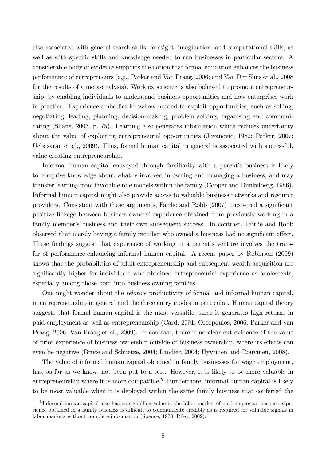also associated with general search skills, foresight, imagination, and computational skills, as well as with specific skills and knowledge needed to run businesses in particular sectors. A considerable body of evidence supports the notion that formal education enhances the business performance of entrepreneurs (e.g., Parker and Van Praag, 2006; and Van Der Sluis et al., 2008 for the results of a meta-analysis). Work experience is also believed to promote entrepreneurship, by enabling individuals to understand business opportunities and how enterprises work in practice. Experience embodies knowhow needed to exploit opportunities, such as selling, negotiating, leading, planning, decision-making, problem solving, organising and communicating (Shane, 2003, p. 75). Learning also generates information which reduces uncertainty about the value of exploiting entrepreneurial opportunities (Jovanovic, 1982; Parker, 2007; Ucbasaran et al., 2009). Thus, formal human capital in general is associated with successful, value-creating entrepreneurship.

Informal human capital conveyed through familiarity with a parent's business is likely to comprise knowledge about what is involved in owning and managing a business, and may transfer learning from favorable role models within the family (Cooper and Dunkelberg, 1986). Informal human capital might also provide access to valuable business networks and resource providers. Consistent with these arguments, Fairlie and Robb (2007) uncovered a significant positive linkage between business owners' experience obtained from previously working in a family member's business and their own subsequent success. In contrast, Fairlie and Robb observed that merely having a family member who owned a business had no significant effect. These findings suggest that experience of working in a parent's venture involves the transfer of performance-enhancing informal human capital. A recent paper by Robinson (2009) shows that the probabilities of adult entrepreneurship and subsequent wealth acquisition are significantly higher for individuals who obtained entrepreneurial experience as adolescents, especially among those born into business owning families.

One might wonder about the *relative* productivity of formal and informal human capital, in entrepreneurship in general and the three entry modes in particular. Human capital theory suggests that formal human capital is the most versatile, since it generates high returns in paid-employment as well as entrepreneurship (Card, 2001; Oreopoulos, 2006; Parker and van Praag, 2006; Van Praag et al., 2009). In contrast, there is no clear cut evidence of the value of prior experience of business ownership outside of business ownership, where its effects can even be negative (Bruce and Schuetze, 2004; Landier, 2004; Hyytinen and Rouvinen, 2008).

The value of informal human capital obtained in family businesses for wage employment, has, as far as we know, not been put to a test. However, it is likely to be more valuable in entrepreneurship where it is more compatible.<sup>5</sup> Furthermore, informal human capital is likely to be most valuable when it is deployed within the same family business that conferred the

<sup>&</sup>lt;sup>5</sup>Informal human capital also has no signalling value in the labor market of paid employees because experience obtained in a family business is difficult to communicate credibly as is required for valuable signals in labor markets without complete information (Spence, 1973; Riley, 2002).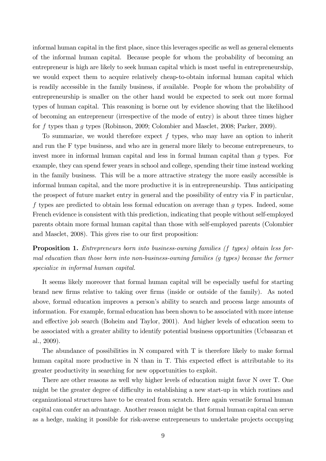informal human capital in the first place, since this leverages specific as well as general elements of the informal human capital. Because people for whom the probability of becoming an entrepreneur is high are likely to seek human capital which is most useful in entrepreneurship, we would expect them to acquire relatively cheap-to-obtain informal human capital which is readily accessible in the family business, if available. People for whom the probability of entrepreneurship is smaller on the other hand would be expected to seek out more formal types of human capital. This reasoning is borne out by evidence showing that the likelihood of becoming an entrepreneur (irrespective of the mode of entry) is about three times higher for f types than g types (Robinson, 2009; Colombier and Masclet, 2008; Parker, 2009).

To summarize, we would therefore expect  $f$  types, who may have an option to inherit and run the F type business, and who are in general more likely to become entrepreneurs, to invest more in informal human capital and less in formal human capital than q types. For example, they can spend fewer years in school and college, spending their time instead working in the family business. This will be a more attractive strategy the more easily accessible is informal human capital, and the more productive it is in entrepreneurship. Thus anticipating the prospect of future market entry in general and the possibility of entry via F in particular, f types are predicted to obtain less formal education on average than g types. Indeed, some French evidence is consistent with this prediction, indicating that people without self-employed parents obtain more formal human capital than those with self-employed parents (Colombier and Masclet, 2008). This gives rise to our first proposition:

Proposition 1. Entrepreneurs born into business-owning families (f types) obtain less formal education than those born into non-business-owning families (g types) because the former specialize in informal human capital.

It seems likely moreover that formal human capital will be especially useful for starting brand new firms relative to taking over firms (inside or outside of the family). As noted above, formal education improves a person's ability to search and process large amounts of information. For example, formal education has been shown to be associated with more intense and effective job search (Boheim and Taylor, 2001). And higher levels of education seem to be associated with a greater ability to identify potential business opportunities (Ucbasaran et al., 2009).

The abundance of possibilities in N compared with T is therefore likely to make formal human capital more productive in  $N$  than in  $T$ . This expected effect is attributable to its greater productivity in searching for new opportunities to exploit.

There are other reasons as well why higher levels of education might favor N over T. One might be the greater degree of difficulty in establishing a new start-up in which routines and organizational structures have to be created from scratch. Here again versatile formal human capital can confer an advantage. Another reason might be that formal human capital can serve as a hedge, making it possible for risk-averse entrepreneurs to undertake projects occupying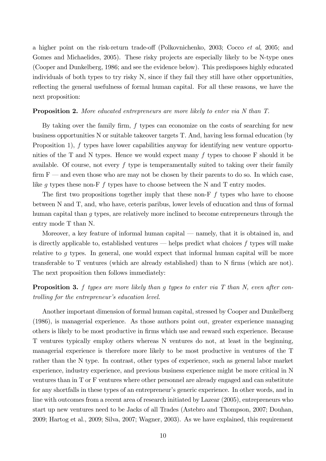a higher point on the risk-return trade-off (Polkovnichenko,  $2003$ ; Cocco *et al*,  $2005$ ; and Gomes and Michaelides, 2005). These risky projects are especially likely to be N-type ones (Cooper and Dunkelberg, 1986; and see the evidence below). This predisposes highly educated individuals of both types to try risky N, since if they fail they still have other opportunities, reflecting the general usefulness of formal human capital. For all these reasons, we have the next proposition:

#### **Proposition 2.** More educated entrepreneurs are more likely to enter via N than T.

By taking over the family firm,  $f$  types can economize on the costs of searching for new business opportunities N or suitable takeover targets T. And, having less formal education (by Proposition 1), f types have lower capabilities anyway for identifying new venture opportunities of the T and N types. Hence we would expect many  $f$  types to choose F should it be available. Of course, not every  $f$  type is temperamentally suited to taking over their family firm  $F$  – and even those who are may not be chosen by their parents to do so. In which case, like g types these non-F f types have to choose between the N and T entry modes.

The first two propositions together imply that these non-F  $f$  types who have to choose between N and T, and, who have, ceteris paribus, lower levels of education and thus of formal human capital than q types, are relatively more inclined to become entrepreneurs through the entry mode T than N.

Moreover, a key feature of informal human capital  $-$  namely, that it is obtained in, and is directly applicable to, established ventures  $-$  helps predict what choices f types will make relative to g types. In general, one would expect that informal human capital will be more transferable to  $T$  ventures (which are already established) than to  $N$  firms (which are not). The next proposition then follows immediately:

**Proposition 3.** f types are more likely than q types to enter via T than N, even after controlling for the entrepreneur's education level.

Another important dimension of formal human capital, stressed by Cooper and Dunkelberg (1986), is managerial experience. As those authors point out, greater experience managing others is likely to be most productive in Örms which use and reward such experience. Because T ventures typically employ others whereas N ventures do not, at least in the beginning, managerial experience is therefore more likely to be most productive in ventures of the T rather than the N type. In contrast, other types of experience, such as general labor market experience, industry experience, and previous business experience might be more critical in N ventures than in T or F ventures where other personnel are already engaged and can substitute for any shortfalls in these types of an entrepreneur's generic experience. In other words, and in line with outcomes from a recent area of research initiated by Lazear (2005), entrepreneurs who start up new ventures need to be Jacks of all Trades (Astebro and Thompson, 2007; Douhan, 2009; Hartog et al., 2009; Silva, 2007; Wagner, 2003). As we have explained, this requirement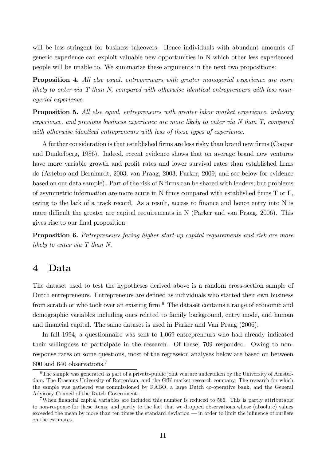will be less stringent for business takeovers. Hence individuals with abundant amounts of generic experience can exploit valuable new opportunities in N which other less experienced people will be unable to. We summarize these arguments in the next two propositions:

**Proposition 4.** All else equal, entrepreneurs with greater managerial experience are more likely to enter via T than N, compared with otherwise identical entrepreneurs with less managerial experience.

**Proposition 5.** All else equal, entrepreneurs with greater labor market experience, industry experience, and previous business experience are more likely to enter via N than T, compared with otherwise identical entrepreneurs with less of these types of experience.

A further consideration is that established firms are less risky than brand new firms (Cooper and Dunkelberg, 1986). Indeed, recent evidence shows that on average brand new ventures have more variable growth and profit rates and lower survival rates than established firms do (Astebro and Bernhardt, 2003; van Praag, 2003; Parker, 2009; and see below for evidence based on our data sample). Part of the risk of N firms can be shared with lenders; but problems of asymmetric information are more acute in  $N$  firms compared with established firms  $T$  or  $F$ , owing to the lack of a track record. As a result, access to finance and hence entry into  $N$  is more difficult the greater are capital requirements in  $N$  (Parker and van Praag, 2006). This gives rise to our final proposition:

**Proposition 6.** Entrepreneurs facing higher start-up capital requirements and risk are more likely to enter via T than N.

# 4 Data

The dataset used to test the hypotheses derived above is a random cross-section sample of Dutch entrepreneurs. Entrepreneurs are defined as individuals who started their own business from scratch or who took over an existing firm.<sup>6</sup> The dataset contains a range of economic and demographic variables including ones related to family background, entry mode, and human and Önancial capital. The same dataset is used in Parker and Van Praag (2006).

In fall 1994, a questionnaire was sent to 1,069 entrepreneurs who had already indicated their willingness to participate in the research. Of these, 709 responded. Owing to nonresponse rates on some questions, most of the regression analyses below are based on between 600 and 640 observations.<sup>7</sup>

 $6$ The sample was generated as part of a private-public joint venture undertaken by the University of Amsterdam, The Erasmus University of Rotterdam, and the GfK market research company. The research for which the sample was gathered was commissioned by RABO, a large Dutch co-operative bank, and the General Advisory Council of the Dutch Government.

<sup>&</sup>lt;sup>7</sup>When financial capital variables are included this number is reduced to 566. This is partly attributable to non-response for these items, and partly to the fact that we dropped observations whose (absolute) values  $exceeded the mean by more than ten times the standard deviation — in order to limit the influence of outliers$ on the estimates.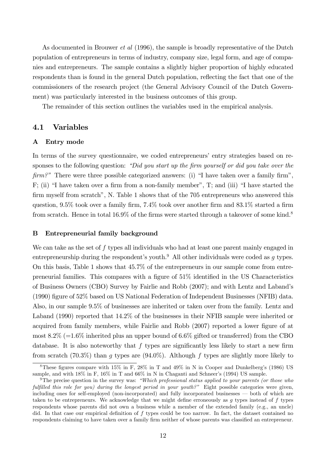As documented in Brouwer *et al* (1996), the sample is broadly representative of the Dutch population of entrepreneurs in terms of industry, company size, legal form, and age of companies and entrepreneurs. The sample contains a slightly higher proportion of highly educated respondents than is found in the general Dutch population, reflecting the fact that one of the commissioners of the research project (the General Advisory Council of the Dutch Government) was particularly interested in the business outcomes of this group.

The remainder of this section outlines the variables used in the empirical analysis.

### 4.1 Variables

#### A Entry mode

In terms of the survey questionnaire, we coded entrepreneurs' entry strategies based on responses to the following question: "Did you start up the firm yourself or did you take over the  $\lim_{n \to \infty}$  There were three possible categorized answers: (i) "I have taken over a family firm", F; (ii) "I have taken over a firm from a non-family member", T; and (iii) "I have started the firm myself from scratch", N. Table 1 shows that of the 705 entrepreneurs who answered this question,  $9.5\%$  took over a family firm,  $7.4\%$  took over another firm and  $83.1\%$  started a firm from scratch. Hence in total  $16.9\%$  of the firms were started through a takeover of some kind.<sup>8</sup>

#### B Entrepreneurial family background

We can take as the set of f types all individuals who had at least one parent mainly engaged in entrepreneurship during the respondent's youth.<sup>9</sup> All other individuals were coded as q types. On this basis, Table 1 shows that 45.7% of the entrepreneurs in our sample come from entrepreneurial families. This compares with a figure of  $51\%$  identified in the US Characteristics of Business Owners (CBO) Survey by Fairlie and Robb (2007); and with Lentz and Labandís (1990) Ögure of 52% based on US National Federation of Independent Businesses (NFIB) data. Also, in our sample 9.5% of businesses are inherited or taken over from the family. Lentz and Laband (1990) reported that  $14.2\%$  of the businesses in their NFIB sample were inherited or acquired from family members, while Fairlie and Robb (2007) reported a lower figure of at most  $8.2\%$  (=1.6% inherited plus an upper bound of 6.6% gifted or transferred) from the CBO database. It is also noteworthy that  $f$  types are significantly less likely to start a new firm from scratch (70.3%) than g types are  $(94.0\%)$ . Although f types are slightly more likely to

<sup>&</sup>lt;sup>8</sup>These figures compare with  $15\%$  in F,  $28\%$  in T and  $49\%$  in N in Cooper and Dunkelberg's (1986) US sample, and with 18% in F, 16% in T and 66% in N in Chaganti and Schneer's (1994) US sample.

<sup>&</sup>lt;sup>9</sup>The precise question in the survey was: *"Which professional status applied to your parents (or those who* fulfilled this role for you) during the longest period in your youth?" Eight possible categories were given, including ones for self-employed (non-incorporated) and fully incorporated businesses  $\sim$  both of which are taken to be entrepreneurs. We acknowledge that we might define erroneously as  $g$  types instead of  $f$  types respondents whose parents did not own a business while a member of the extended family (e.g., an uncle) did. In that case our empirical definition of  $f$  types could be too narrow. In fact, the dataset contained no respondents claiming to have taken over a family firm neither of whose parents was classified an entrepreneur.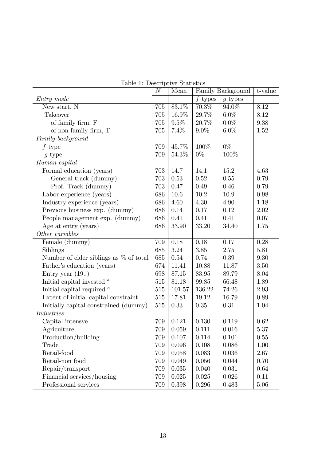|                                           | $\boldsymbol{N}$ | Mean   | Family Background |           | t-value |
|-------------------------------------------|------------------|--------|-------------------|-----------|---------|
| Entry mode                                |                  |        | $f$ types         | $g$ types |         |
| New start, N                              | 705              | 83.1%  | 70.3%             | 94.0%     | 8.12    |
| <b>Takeover</b>                           | 705              | 16.9%  | 29.7%             | $6.0\%$   | 8.12    |
| of family firm, F                         | 705              | 9.5%   | 20.7%             | $0.0\%$   | 9.38    |
| of non-family firm, $\mathcal T$          | 705              | 7.4%   | $9.0\%$           | $6.0\%$   | 1.52    |
| Family background                         |                  |        |                   |           |         |
| $f$ type                                  | 709              | 45.7%  | 100\%             | $0\%$     |         |
| $g$ type                                  | 709              | 54.3%  | $0\%$             | 100%      |         |
| Human capital                             |                  |        |                   |           |         |
| Formal education (years)                  | 703              | 14.7   | 14.1              | 15.2      | 4.63    |
| General track (dummy)                     | 703              | 0.53   | 0.52              | 0.55      | 0.79    |
| Prof. Track (dummy)                       | 703              | 0.47   | 0.49              | 0.46      | 0.79    |
| Labor experience (years)                  | 686              | 10.6   | 10.2              | 10.9      | 0.98    |
| Industry experience (years)               | 686              | 4.60   | 4.30              | 4.90      | 1.18    |
| Previous business exp. (dummy)            | 686              | 0.14   | 0.17              | 0.12      | 2.02    |
| People management exp. (dummy)            | 686              | 0.41   | 0.41              | 0.41      | 0.07    |
| Age at entry (years)                      | 686              | 33.90  | 33.20             | 34.40     | 1.75    |
| Other variables                           |                  |        |                   |           |         |
| Female (dummy)                            | 709              | 0.18   | 0.18              | 0.17      | 0.28    |
| Siblings                                  | 685              | 3.24   | 3.85              | 2.75      | 5.81    |
| Number of elder siblings as $\%$ of total | 685              | 0.54   | 0.74              | 0.39      | 9.30    |
| Father's education (years)                | 674              | 11.41  | 10.88             | 11.87     | 3.50    |
| Entry year $(19.)$                        | 698              | 87.15  | 83.95             | 89.79     | 8.04    |
| Initial capital invested $a$              | 515              | 81.18  | 99.85             | 66.48     | 1.89    |
| Initial capital required $a$              | 515              | 101.57 | 136.22            | 74.26     | 2.93    |
| Extent of initial capital constraint      | 515              | 17.81  | 19.12             | 16.79     | 0.89    |
| Initially capital constrained (dummy)     | 515              | 0.33   | 0.35              | 0.31      | 1.04    |
| <b>Industries</b>                         |                  |        |                   |           |         |
| Capital intensve                          | 709              | 0.121  | 0.130             | 0.119     | 0.62    |
| Agriculture                               | $709\,$          | 0.059  | 0.111             | 0.016     | 5.37    |
| Production/building                       | 709              | 0.107  | 0.114             | 0.101     | 0.55    |
| Trade                                     | 709              | 0.096  | 0.108             | 0.086     | 1.00    |
| Retail-food                               | 709              | 0.058  | 0.083             | 0.036     | 2.67    |
| Retail-non food                           | 709              | 0.049  | 0.056             | 0.044     | 0.70    |
| Repair/transport                          | 709              | 0.035  | 0.040             | 0.031     | 0.64    |
| Financial services/housing                | 709              | 0.025  | 0.025             | 0.026     | 0.11    |
| Professional services                     | 709              | 0.398  | 0.296             | 0.483     | 5.06    |

Table 1: Descriptive Statistics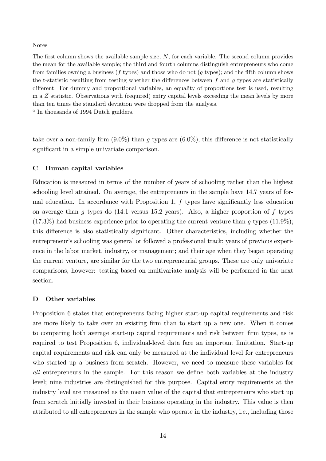#### Notes

The first column shows the available sample size,  $N$ , for each variable. The second column provides the mean for the available sample; the third and fourth columns distinguish entrepreneurs who come from families owning a business  $(f$  types) and those who do not  $(g$  types); and the fifth column shows the t-statistic resulting from testing whether the differences between  $f$  and  $g$  types are statistically different. For dummy and proportional variables, an equality of proportions test is used, resulting in a Z statistic. Observations with (required) entry capital levels exceeding the mean levels by more than ten times the standard deviation were dropped from the analysis.

<sup>a</sup> In thousands of 1994 Dutch guilders.

take over a non-family firm  $(9.0\%)$  than g types are  $(6.0\%)$ , this difference is not statistically significant in a simple univariate comparison.

### C Human capital variables

Education is measured in terms of the number of years of schooling rather than the highest schooling level attained. On average, the entrepreneurs in the sample have 14.7 years of formal education. In accordance with Proposition 1,  $f$  types have significantly less education on average than q types do (14.1 versus 15.2 years). Also, a higher proportion of f types  $(17.3\%)$  had business experience prior to operating the current venture than g types  $(11.9\%)$ ; this difference is also statistically significant. Other characteristics, including whether the entrepreneur's schooling was general or followed a professional track; years of previous experience in the labor market, industry, or management; and their age when they began operating the current venture, are similar for the two entrepreneurial groups. These are only univariate comparisons, however: testing based on multivariate analysis will be performed in the next section.

### D Other variables

Proposition 6 states that entrepreneurs facing higher start-up capital requirements and risk are more likely to take over an existing firm than to start up a new one. When it comes to comparing both average start-up capital requirements and risk between firm types, as is required to test Proposition 6, individual-level data face an important limitation. Start-up capital requirements and risk can only be measured at the individual level for entrepreneurs who started up a business from scratch. However, we need to measure these variables for all entrepreneurs in the sample. For this reason we define both variables at the industry level; nine industries are distinguished for this purpose. Capital entry requirements at the industry level are measured as the mean value of the capital that entrepreneurs who start up from scratch initially invested in their business operating in the industry. This value is then attributed to all entrepreneurs in the sample who operate in the industry, i.e., including those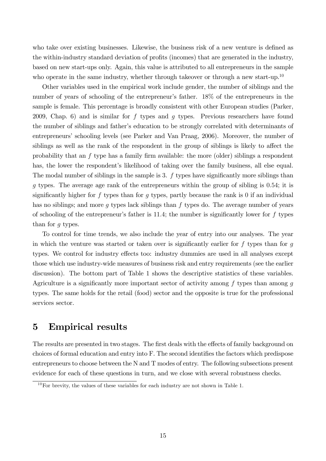who take over existing businesses. Likewise, the business risk of a new venture is defined as the within-industry standard deviation of profits (incomes) that are generated in the industry, based on new start-ups only. Again, this value is attributed to all entrepreneurs in the sample who operate in the same industry, whether through takeover or through a new start-up.<sup>10</sup>

Other variables used in the empirical work include gender, the number of siblings and the number of years of schooling of the entrepreneur's father. 18% of the entrepreneurs in the sample is female. This percentage is broadly consistent with other European studies (Parker, 2009, Chap. 6) and is similar for  $f$  types and  $g$  types. Previous researchers have found the number of siblings and father's education to be strongly correlated with determinants of entrepreneurs' schooling levels (see Parker and Van Praag, 2006). Moreover, the number of siblings as well as the rank of the respondent in the group of siblings is likely to affect the probability that an  $f$  type has a family firm available: the more (older) siblings a respondent has, the lower the respondent's likelihood of taking over the family business, all else equal. The modal number of siblings in the sample is 3.  $f$  types have significantly more siblings than g types. The average age rank of the entrepreneurs within the group of sibling is 0:54; it is significantly higher for f types than for q types, partly because the rank is 0 if an individual has no siblings; and more q types lack siblings than  $f$  types do. The average number of years of schooling of the entrepreneur's father is  $11.4$ ; the number is significantly lower for f types than for g types.

To control for time trends, we also include the year of entry into our analyses. The year in which the venture was started or taken over is significantly earlier for  $f$  types than for  $g$ types. We control for industry effects too: industry dummies are used in all analyses except those which use industry-wide measures of business risk and entry requirements (see the earlier discussion). The bottom part of Table 1 shows the descriptive statistics of these variables. Agriculture is a significantly more important sector of activity among  $f$  types than among  $g$ types. The same holds for the retail (food) sector and the opposite is true for the professional services sector.

# 5 Empirical results

The results are presented in two stages. The first deals with the effects of family background on choices of formal education and entry into F. The second identifies the factors which predispose entrepreneurs to choose between the N and T modes of entry. The following subsections present evidence for each of these questions in turn, and we close with several robustness checks.

 $10$ For brevity, the values of these variables for each industry are not shown in Table 1.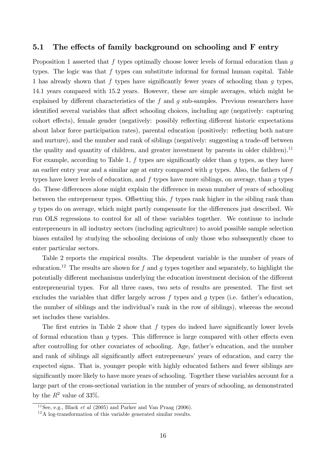### 5.1 The effects of family background on schooling and F entry

Proposition 1 asserted that f types optimally choose lower levels of formal education than g types. The logic was that f types can substitute informal for formal human capital. Table 1 has already shown that f types have significantly fewer years of schooling than  $q$  types, 14.1 years compared with 15.2 years. However, these are simple averages, which might be explained by different characteristics of the f and  $q$  sub-samples. Previous researchers have identified several variables that affect schooling choices, including age (negatively: capturing cohort effects), female gender (negatively: possibly reflecting different historic expectations about labor force participation rates), parental education (positively: reflecting both nature and nurture), and the number and rank of siblings (negatively: suggesting a trade-off between the quality and quantity of children, and greater investment by parents in older children).<sup>11</sup> For example, according to Table 1,  $f$  types are significantly older than  $g$  types, as they have an earlier entry year and a similar age at entry compared with  $g$  types. Also, the fathers of  $f$ types have lower levels of education, and  $f$  types have more siblings, on average, than  $q$  types do. These differences alone might explain the difference in mean number of years of schooling between the entrepreneur types. Offsetting this,  $f$  types rank higher in the sibling rank than g types do on average, which might partly compensate for the differences just described. We run OLS regressions to control for all of these variables together. We continue to include entrepreneurs in all industry sectors (including agriculture) to avoid possible sample selection biases entailed by studying the schooling decisions of only those who subsequently chose to enter particular sectors.

Table 2 reports the empirical results. The dependent variable is the number of years of education.<sup>12</sup> The results are shown for f and g types together and separately, to highlight the potentially different mechanisms underlying the education investment decision of the different entrepreneurial types. For all three cases, two sets of results are presented. The first set excludes the variables that differ largely across f types and q types (i.e. father's education, the number of siblings and the individual's rank in the row of siblings), whereas the second set includes these variables.

The first entries in Table 2 show that  $f$  types do indeed have significantly lower levels of formal education than  $q$  types. This difference is large compared with other effects even after controlling for other covariates of schooling. Age, father's education, and the number and rank of siblings all significantly affect entrepreneurs' years of education, and carry the expected signs. That is, younger people with highly educated fathers and fewer siblings are significantly more likely to have more years of schooling. Together these variables account for a large part of the cross-sectional variation in the number of years of schooling, as demonstrated by the  $R^2$  value of 33%.

<sup>&</sup>lt;sup>11</sup>See, e.g., Black *et al* (2005) and Parker and Van Praag (2006).

<sup>12</sup>A log-transformation of this variable generated similar results.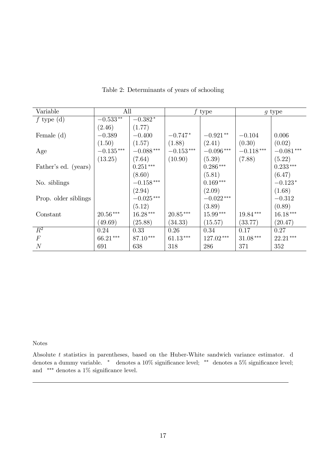| Variable             | All         |                         | $f$ type    |             | $g$ type    |             |
|----------------------|-------------|-------------------------|-------------|-------------|-------------|-------------|
| f type $(d)$         | $-0.533**$  | $-0.382*$               |             |             |             |             |
|                      | (2.46)      | (1.77)                  |             |             |             |             |
| Female $(d)$         | $-0.389$    | $-0.400$                | $-0.747*$   | $-0.921**$  | $-0.104$    | 0.006       |
|                      | (1.50)      | (1.57)                  | (1.88)      | (2.41)      | (0.30)      | (0.02)      |
| Age                  | $-0.135***$ | $-0.088^{\ast\ast\ast}$ | $-0.153***$ | $-0.096***$ | $-0.118***$ | $-0.081***$ |
|                      | (13.25)     | (7.64)                  | (10.90)     | (5.39)      | (7.88)      | (5.22)      |
| Father's ed. (years) |             | $0.251***$              |             | $0.286***$  |             | $0.233***$  |
|                      |             | (8.60)                  |             | (5.81)      |             | (6.47)      |
| No. siblings         |             | $-0.158^{\,***}$        |             | $0.169***$  |             | $-0.123*$   |
|                      |             | (2.94)                  |             | (2.09)      |             | (1.68)      |
| Prop. older siblings |             | $-0.025\,***$           |             | $-0.022***$ |             | $-0.312$    |
|                      |             | (5.12)                  |             | (3.89)      |             | (0.89)      |
| Constant             | $20.56***$  | $16.28***$              | $20.85***$  | $15.99***$  | $19.84***$  | $16.18***$  |
|                      | (49.69)     | (25.88)                 | (34.33)     | (15.57)     | (33.77)     | (20.47)     |
| $\overline{R^2}$     | 0.24        | 0.33                    | 0.26        | 0.34        | 0.17        | 0.27        |
| $\,F$                | 66.21***    | 87.10***                | $61.13***$  | 127.02***   | $31.08***$  | $22.21***$  |
| $\overline{N}$       | 691         | 638                     | 318         | 286         | 371         | 352         |

Table 2: Determinants of years of schooling

### Notes

Absolute t statistics in parentheses, based on the Huber-White sandwich variance estimator. d denotes a dummy variable.  $*$  denotes a 10% significance level;  $**$  denotes a 5% significance level; and  $***$  denotes a 1% significance level.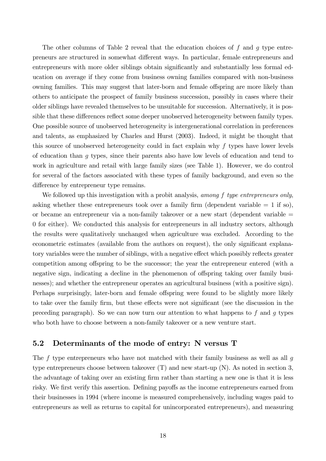The other columns of Table 2 reveal that the education choices of f and q type entrepreneurs are structured in somewhat di§erent ways. In particular, female entrepreneurs and entrepreneurs with more older siblings obtain significantly and substantially less formal education on average if they come from business owning families compared with non-business owning families. This may suggest that later-born and female offspring are more likely than others to anticipate the prospect of family business succession, possibly in cases where their older siblings have revealed themselves to be unsuitable for succession. Alternatively, it is possible that these differences reflect some deeper unobserved heterogeneity between family types. One possible source of unobserved heterogeneity is intergenerational correlation in preferences and talents, as emphasized by Charles and Hurst (2003). Indeed, it might be thought that this source of unobserved heterogeneity could in fact explain why f types have lower levels of education than g types, since their parents also have low levels of education and tend to work in agriculture and retail with large family sizes (see Table 1). However, we do control for several of the factors associated with these types of family background, and even so the difference by entrepreneur type remains.

We followed up this investigation with a probit analysis, among f type entrepreneurs only, asking whether these entrepreneurs took over a family firm (dependent variable  $= 1$  if so), or became an entrepreneur via a non-family takeover or a new start (dependent variable = 0 for either). We conducted this analysis for entrepreneurs in all industry sectors, although the results were qualitatively unchanged when agriculture was excluded. According to the econometric estimates (available from the authors on request), the only significant explanatory variables were the number of siblings, with a negative effect which possibly reflects greater competition among offspring to be the successor; the year the entrepreneur entered (with a negative sign, indicating a decline in the phenomenon of offspring taking over family businesses); and whether the entrepreneur operates an agricultural business (with a positive sign). Perhaps surprisingly, later-born and female offspring were found to be slightly more likely to take over the family firm, but these effects were not significant (see the discussion in the preceding paragraph). So we can now turn our attention to what happens to f and  $q$  types who both have to choose between a non-family takeover or a new venture start.

### 5.2 Determinants of the mode of entry: N versus T

The f type entrepreneurs who have not matched with their family business as well as all  $q$ type entrepreneurs choose between takeover (T) and new start-up (N). As noted in section 3, the advantage of taking over an existing Örm rather than starting a new one is that it is less risky. We first verify this assertion. Defining payoffs as the income entrepreneurs earned from their businesses in 1994 (where income is measured comprehensively, including wages paid to entrepreneurs as well as returns to capital for unincorporated entrepreneurs), and measuring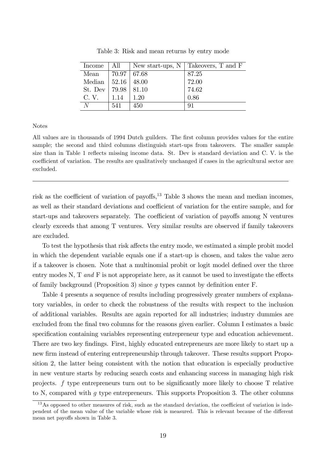| Income  | All   |                    | New start-ups, $N \mid$ Takeovers, T and F |
|---------|-------|--------------------|--------------------------------------------|
| Mean    |       | $70.97 \mid 67.68$ | 87.25                                      |
| Median  | 52.16 | 48.00              | 72.00                                      |
| St. Dev | 79.98 | 81.10              | 74.62                                      |
| C. V.   | 1.14  | 1.20               | 0.86                                       |
| N       | 541   | 450                | 91                                         |

Table 3: Risk and mean returns by entry mode

Notes

All values are in thousands of 1994 Dutch guilders. The first column provides values for the entire sample; the second and third columns distinguish start-ups from takeovers. The smaller sample size than in Table 1 reflects missing income data. St. Dev is standard deviation and C. V. is the coefficient of variation. The results are qualitatively unchanged if cases in the agricultural sector are excluded.

risk as the coefficient of variation of payoffs,<sup>13</sup> Table 3 shows the mean and median incomes, as well as their standard deviations and coefficient of variation for the entire sample, and for start-ups and takeovers separately. The coefficient of variation of payoffs among N ventures clearly exceeds that among T ventures. Very similar results are observed if family takeovers are excluded.

To test the hypothesis that risk affects the entry mode, we estimated a simple probit model in which the dependent variable equals one if a start-up is chosen, and takes the value zero if a takeover is chosen. Note that a multinomial probit or logit model defined over the three entry modes N,  $T$  and  $F$  is not appropriate here, as it cannot be used to investigate the effects of family background (Proposition 3) since  $g$  types cannot by definition enter F.

Table 4 presents a sequence of results including progressively greater numbers of explanatory variables, in order to check the robustness of the results with respect to the inclusion of additional variables. Results are again reported for all industries; industry dummies are excluded from the final two columns for the reasons given earlier. Column I estimates a basic specification containing variables representing entrepreneur type and education achievement. There are two key findings. First, highly educated entrepreneurs are more likely to start up a new firm instead of entering entrepreneurship through takeover. These results support Proposition 2, the latter being consistent with the notion that education is especially productive in new venture starts by reducing search costs and enhancing success in managing high risk projects.  $f$  type entrepreneurs turn out to be significantly more likely to choose  $T$  relative to N, compared with g type entrepreneurs. This supports Proposition 3. The other columns

 $13\text{As opposed to other measures of risk, such as the standard deviation, the coefficient of variation is inde$ pendent of the mean value of the variable whose risk is measured. This is relevant because of the different mean net payoffs shown in Table 3.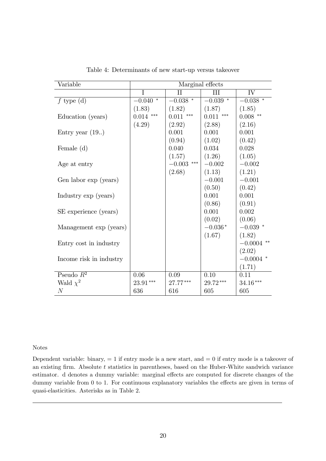| Variable                | Marginal effects   |                                          |                    |                    |  |
|-------------------------|--------------------|------------------------------------------|--------------------|--------------------|--|
|                         | I                  | $\rm II$                                 | III                | IV                 |  |
| $f$ type (d)            | $-0.040$<br>$\ast$ | $-0.038$ $^{\ast}$                       | $\ast$<br>$-0.039$ | $-0.038$ $^{\ast}$ |  |
|                         | (1.83)             | (1.82)                                   | (1.87)             | (1.85)             |  |
| Education (years)       | $0.014$ ***        | $0.011$ ***                              | $0.011$ ***        | $0.008$ **         |  |
|                         | (4.29)             | (2.92)                                   | (2.88)             | (2.16)             |  |
| Entry year $(19.)$      |                    | 0.001                                    | 0.001              | 0.001              |  |
|                         |                    | (0.94)                                   | (1.02)             | (0.42)             |  |
| Female $(d)$            |                    | 0.040                                    | 0.034              | 0.028              |  |
|                         |                    | (1.57)                                   | (1.26)             | (1.05)             |  |
| Age at entry            |                    | $-0.003$ $\hspace{0.1cm}^{\ast\ast\ast}$ | $-0.002$           | $-0.002$           |  |
|                         |                    | (2.68)                                   | (1.13)             | (1.21)             |  |
| Gen labor exp (years)   |                    |                                          | $-0.001$           | $-0.001$           |  |
|                         |                    |                                          | (0.50)             | (0.42)             |  |
| Industry exp (years)    |                    |                                          | 0.001              | 0.001              |  |
|                         |                    |                                          | (0.86)             | (0.91)             |  |
| SE experience (years)   |                    |                                          | 0.001              | 0.002              |  |
|                         |                    |                                          | (0.02)             | (0.06)             |  |
| Management exp (years)  |                    |                                          | $-0.036*$          | $-0.039$ *         |  |
|                         |                    |                                          | (1.67)             | (1.82)             |  |
| Entry cost in industry  |                    |                                          |                    | $-0.0004$ **       |  |
|                         |                    |                                          |                    | (2.02)             |  |
| Income risk in industry |                    |                                          |                    | $-0.0004$ *        |  |
|                         |                    |                                          |                    | (1.71)             |  |
| Pseudo $R^2$            | $0.06\,$           | 0.09                                     | $0.10\,$           | 0.11               |  |
| Wald $\chi^2$           | 23.91***           | 27.77***                                 | $29.72***$         | 34.16***           |  |
| $\mathcal N$            | 636                | 616                                      | 605                | 605                |  |

Table 4: Determinants of new start-up versus takeover

#### Notes

Dependent variable: binary,  $= 1$  if entry mode is a new start, and  $= 0$  if entry mode is a takeover of an existing firm. Absolute  $t$  statistics in parentheses, based on the Huber-White sandwich variance estimator. d denotes a dummy variable: marginal effects are computed for discrete changes of the dummy variable from  $0$  to  $1$ . For continuous explanatory variables the effects are given in terms of quasi-elasticities. Asterisks as in Table 2.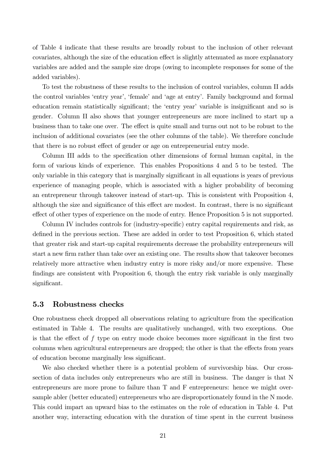of Table 4 indicate that these results are broadly robust to the inclusion of other relevant covariates, although the size of the education effect is slightly attenuated as more explanatory variables are added and the sample size drops (owing to incomplete responses for some of the added variables).

To test the robustness of these results to the inclusion of control variables, column II adds the control variables 'entry year', 'female' and 'age at entry'. Family background and formal education remain statistically significant; the 'entry year' variable is insignificant and so is gender. Column II also shows that younger entrepreneurs are more inclined to start up a business than to take one over. The effect is quite small and turns out not to be robust to the inclusion of additional covariates (see the other columns of the table). We therefore conclude that there is no robust effect of gender or age on entrepreneurial entry mode.

Column III adds to the specification other dimensions of formal human capital, in the form of various kinds of experience. This enables Propositions 4 and 5 to be tested. The only variable in this category that is marginally significant in all equations is years of previous experience of managing people, which is associated with a higher probability of becoming an entrepreneur through takeover instead of start-up. This is consistent with Proposition 4, although the size and significance of this effect are modest. In contrast, there is no significant effect of other types of experience on the mode of entry. Hence Proposition 5 is not supported.

Column IV includes controls for (industry-specific) entry capital requirements and risk, as defined in the previous section. These are added in order to test Proposition 6, which stated that greater risk and start-up capital requirements decrease the probability entrepreneurs will start a new firm rather than take over an existing one. The results show that takeover becomes relatively more attractive when industry entry is more risky and/or more expensive. These findings are consistent with Proposition 6, though the entry risk variable is only marginally significant.

### 5.3 Robustness checks

One robustness check dropped all observations relating to agriculture from the specification estimated in Table 4. The results are qualitatively unchanged, with two exceptions. One is that the effect of  $f$  type on entry mode choice becomes more significant in the first two columns when agricultural entrepreneurs are dropped; the other is that the effects from years of education become marginally less significant.

We also checked whether there is a potential problem of survivorship bias. Our crosssection of data includes only entrepreneurs who are still in business. The danger is that N entrepreneurs are more prone to failure than T and F entrepreneurs: hence we might oversample abler (better educated) entrepreneurs who are disproportionately found in the N mode. This could impart an upward bias to the estimates on the role of education in Table 4. Put another way, interacting education with the duration of time spent in the current business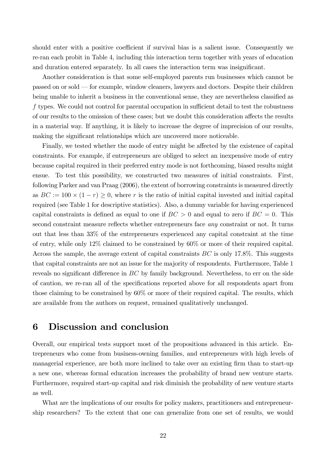should enter with a positive coefficient if survival bias is a salient issue. Consequently we re-ran each probit in Table 4, including this interaction term together with years of education and duration entered separately. In all cases the interaction term was insignificant.

Another consideration is that some self-employed parents run businesses which cannot be  $p$ assed on or sold  $-$  for example, window cleaners, lawyers and doctors. Despite their children being unable to inherit a business in the conventional sense, they are nevertheless classified as f types. We could not control for parental occupation in sufficient detail to test the robustness of our results to the omission of these cases; but we doubt this consideration affects the results in a material way. If anything, it is likely to increase the degree of imprecision of our results, making the significant relationships which are uncovered more noticeable.

Finally, we tested whether the mode of entry might be affected by the existence of capital constraints. For example, if entrepreneurs are obliged to select an inexpensive mode of entry because capital required in their preferred entry mode is not forthcoming, biased results might ensue. To test this possibility, we constructed two measures of initial constraints. First, following Parker and van Praag (2006), the extent of borrowing constraints is measured directly as  $BC := 100 \times (1 - r) \ge 0$ , where r is the ratio of initial capital invested and initial capital required (see Table 1 for descriptive statistics). Also, a dummy variable for having experienced capital constraints is defined as equal to one if  $BC > 0$  and equal to zero if  $BC = 0$ . This second constraint measure reflects whether entrepreneurs face any constraint or not. It turns out that less than 33% of the entrepreneurs experienced any capital constraint at the time of entry, while only 12% claimed to be constrained by 60% or more of their required capital. Across the sample, the average extent of capital constraints BC is only 17.8%. This suggests that capital constraints are not an issue for the majority of respondents. Furthermore, Table 1 reveals no significant difference in  $BC$  by family background. Nevertheless, to err on the side of caution, we re-ran all of the specifications reported above for all respondents apart from those claiming to be constrained by 60% or more of their required capital. The results, which are available from the authors on request, remained qualitatively unchanged.

### 6 Discussion and conclusion

Overall, our empirical tests support most of the propositions advanced in this article. Entrepreneurs who come from business-owning families, and entrepreneurs with high levels of managerial experience, are both more inclined to take over an existing Örm than to start-up a new one, whereas formal education increases the probability of brand new venture starts. Furthermore, required start-up capital and risk diminish the probability of new venture starts as well.

What are the implications of our results for policy makers, practitioners and entrepreneurship researchers? To the extent that one can generalize from one set of results, we would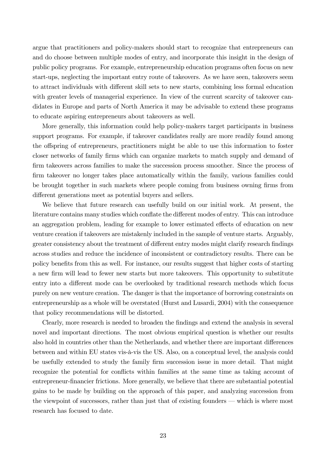argue that practitioners and policy-makers should start to recognize that entrepreneurs can and do choose between multiple modes of entry, and incorporate this insight in the design of public policy programs. For example, entrepreneurship education programs often focus on new start-ups, neglecting the important entry route of takeovers. As we have seen, takeovers seem to attract individuals with different skill sets to new starts, combining less formal education with greater levels of managerial experience. In view of the current scarcity of takeover candidates in Europe and parts of North America it may be advisable to extend these programs to educate aspiring entrepreneurs about takeovers as well.

More generally, this information could help policy-makers target participants in business support programs. For example, if takeover candidates really are more readily found among the offspring of entrepreneurs, practitioners might be able to use this information to foster closer networks of family firms which can organize markets to match supply and demand of firm takeovers across families to make the succession process smoother. Since the process of firm takeover no longer takes place automatically within the family, various families could be brought together in such markets where people coming from business owning firms from different generations meet as potential buyers and sellers.

We believe that future research can usefully build on our initial work. At present, the literature contains many studies which conflate the different modes of entry. This can introduce an aggregation problem, leading for example to lower estimated effects of education on new venture creation if takeovers are mistakenly included in the sample of venture starts. Arguably, greater consistency about the treatment of different entry modes might clarify research findings across studies and reduce the incidence of inconsistent or contradictory results. There can be policy benefits from this as well. For instance, our results suggest that higher costs of starting a new Örm will lead to fewer new starts but more takeovers. This opportunity to substitute entry into a different mode can be overlooked by traditional research methods which focus purely on new venture creation. The danger is that the importance of borrowing constraints on entrepreneurship as a whole will be overstated (Hurst and Lusardi, 2004) with the consequence that policy recommendations will be distorted.

Clearly, more research is needed to broaden the Öndings and extend the analysis in several novel and important directions. The most obvious empirical question is whether our results also hold in countries other than the Netherlands, and whether there are important differences between and within EU states vis- $\alpha$ -vis the US. Also, on a conceptual level, the analysis could be usefully extended to study the family firm succession issue in more detail. That might recognize the potential for conflicts within families at the same time as taking account of entrepreneur-Önancier frictions. More generally, we believe that there are substantial potential gains to be made by building on the approach of this paper, and analyzing succession from the viewpoint of successors, rather than just that of existing founders – which is where most research has focused to date.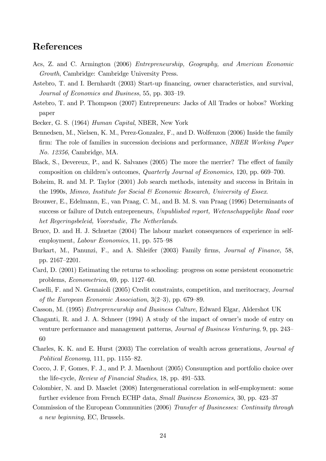# References

- Acs, Z. and C. Armington (2006) Entrepreneurship, Geography, and American Economic Growth, Cambridge: Cambridge University Press.
- Astebro, T. and I. Bernhardt (2003) Start-up financing, owner characteristics, and survival, Journal of Economics and Business, 55, pp. 303–19.
- Astebro, T. and P. Thompson (2007) Entrepreneurs: Jacks of All Trades or hobos? Working paper
- Becker, G. S. (1964) Human Capital, NBER, New York
- Bennedsen, M., Nielsen, K. M., Perez-Gonzalez, F., and D. Wolfenzon (2006) Inside the family firm: The role of families in succession decisions and performance, *NBER Working Paper* No. 12356, Cambridge, MA.
- Black, S., Devereux, P., and K. Salvanes (2005) The more the merrier? The effect of family composition on children's outcomes, *Quarterly Journal of Economics*, 120, pp. 669–700.
- Boheim, R. and M. P. Taylor (2001) Job search methods, intensity and success in Britain in the 1990s, Mimeo, Institute for Social  $\mathcal B$  Economic Research, University of Essex.
- Brouwer, E., Edelmann, E., van Praag, C. M., and B. M. S. van Praag (1996) Determinants of success or failure of Dutch entrepreneurs, Unpublished report, Wetenschappelijke Raad voor het Regeringsbeleid, Voorstudie, The Netherlands.
- Bruce, D. and H. J. Schuetze (2004) The labour market consequences of experience in selfemployment, *Labour Economics*, 11, pp. 575–98
- Burkart, M., Panunzi, F., and A. Shleifer (2003) Family firms, *Journal of Finance*, 58, pp. 2167–2201.
- Card, D. (2001) Estimating the returns to schooling: progress on some persistent econometric problems,  $Econometrica$ , 69, pp. 1127–60.
- Caselli, F. and N. Gennaioli (2005) Credit constraints, competition, and meritocracy, Journal of the European Economic Association,  $3(2-3)$ , pp. 679–89.
- Casson, M. (1995) Entrepreneurship and Business Culture, Edward Elgar, Aldershot UK
- Chaganti, R. and J. A. Schneer (1994) A study of the impact of owner's mode of entry on venture performance and management patterns, Journal of Business Venturing, 9, pp. 243– 60
- Charles, K. K. and E. Hurst (2003) The correlation of wealth across generations, Journal of Political Economy, 111, pp.  $1155-82$ .
- Cocco, J. F, Gomes, F. J., and P. J. Maenhout (2005) Consumption and portfolio choice over the life-cycle, Review of Financial Studies, 18, pp. 491–533.
- Colombier, N. and D. Masclet (2008) Intergenerational correlation in self-employment: some further evidence from French ECHP data, *Small Business Economics*, 30, pp. 423–37
- Commission of the European Communities (2006) Transfer of Businesses: Continuity through a new beginning, EC, Brussels.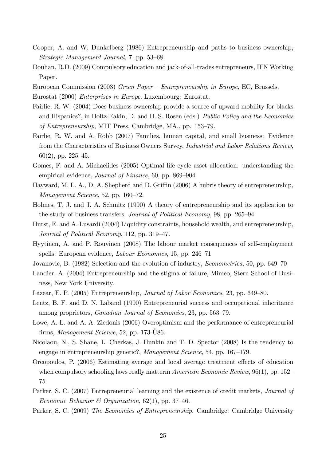- Cooper, A. and W. Dunkelberg (1986) Entrepreneurship and paths to business ownership, Strategic Management Journal,  $7$ , pp. 53–68.
- Douhan, R.D. (2009) Compulsory education and jack-of-all-trades entrepreneurs, IFN Working Paper.
- European Commission (2003) Green Paper Entrepreneurship in Europe, EC, Brussels.
- Eurostat (2000) Enterprises in Europe, Luxembourg: Eurostat.
- Fairlie, R. W. (2004) Does business ownership provide a source of upward mobility for blacks and Hispanics?, in Holtz-Eakin, D. and H. S. Rosen (eds.) Public Policy and the Economics of Entrepreneurship, MIT Press, Cambridge, MA., pp.  $153-79$ .
- Fairlie, R. W. and A. Robb (2007) Families, human capital, and small business: Evidence from the Characteristics of Business Owners Survey, Industrial and Labor Relations Review, 60(2), pp. 225-45.
- Gomes, F. and A. Michaelides (2005) Optimal life cycle asset allocation: understanding the empirical evidence, *Journal of Finance*, 60, pp. 869–904.
- Hayward, M. L. A., D. A. Shepherd and D. Griffin (2006) A hubris theory of entrepreneurship,  $Management Science, 52, pp. 160–72.$
- Holmes, T. J. and J. A. Schmitz (1990) A theory of entrepreneurship and its application to the study of business transfers, *Journal of Political Economy*, 98, pp. 265–94.
- Hurst, E. and A. Lusardi (2004) Liquidity constraints, household wealth, and entrepreneurship, Journal of Political Economy, 112, pp. 319–47.
- Hyytinen, A. and P. Rouvinen (2008) The labour market consequences of self-employment spells: European evidence, Labour Economics, 15, pp. 246–71
- Jovanovic, B. (1982) Selection and the evolution of industry, *Econometrica*, 50, pp. 649–70
- Landier, A. (2004) Entrepreneurship and the stigma of failure, Mimeo, Stern School of Business, New York University.
- Lazear, E. P. (2005) Entrepreneurship, *Journal of Labor Economics*, 23, pp. 649–80.
- Lentz, B. F. and D. N. Laband (1990) Entrepreneurial success and occupational inheritance among proprietors, *Canadian Journal of Economics*, 23, pp. 563–79.
- Lowe, A. L. and A. A. Ziedonis (2006) Overoptimism and the performance of entrepreneurial firms, *Management Science*, 52, pp.  $173-\overline{U}86$ .
- Nicolaou, N., S. Shane, L. Cherkas, J. Hunkin and T. D. Spector (2008) Is the tendency to engage in entrepreneurship genetic?, Management Science, 54, pp. 167–179.
- Oreopoulos, P. (2006) Estimating average and local average treatment effects of education when compulsory schooling laws really matterm  $American Economic Review, 96(1), pp. 152-$ 75
- Parker, S. C. (2007) Entrepreneurial learning and the existence of credit markets, *Journal of* Economic Behavior & Organization,  $62(1)$ , pp. 37-46.
- Parker, S. C. (2009) The Economics of Entrepreneurship. Cambridge: Cambridge University